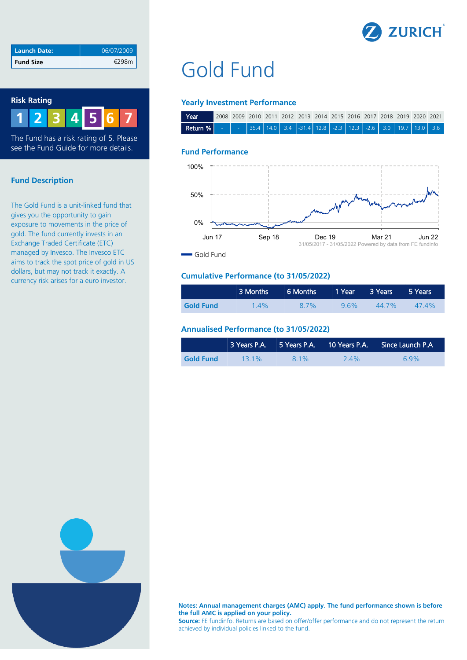

| Launch Date:     | 06/07/2009 |
|------------------|------------|
| <b>Fund Size</b> |            |

## **Risk Rating**

**1 2 3 4 6 7 5**

The Fund has a risk rating of 5. Please see the Fund Guide for more details.

# **Fund Description**

The Gold Fund is a unit-linked fund that gives you the opportunity to gain exposure to movements in the price of gold. The fund currently invests in an Exchange Traded Certificate (ETC) managed by Invesco. The Invesco ETC aims to track the spot price of gold in US dollars, but may not track it exactly. A currency risk arises for a euro investor.

# Gold Fund

## **Yearly Investment Performance**

| Year                                                                                                                                                                                                                                                          |  |  | 2008 2009 2010 2011 2012 2013 2014 2015 2016 2017 2018 2019 2020 2021 |  |  |  |  |
|---------------------------------------------------------------------------------------------------------------------------------------------------------------------------------------------------------------------------------------------------------------|--|--|-----------------------------------------------------------------------|--|--|--|--|
| <b>Return %</b> $\begin{bmatrix} 1 & 1 \\ 1 & 1 \end{bmatrix}$ 35.4 $\begin{bmatrix} 14.0 & 3.4 \\ 14.0 & 3.4 \end{bmatrix}$ 12.8 $\begin{bmatrix} 2.3 & 12.3 \\ 2.3 & 12.3 \end{bmatrix}$ 12.6 $\begin{bmatrix} 3.0 & 19.7 \\ 19.7 & 13.0 \end{bmatrix}$ 3.6 |  |  |                                                                       |  |  |  |  |

#### **Fund Performance**



# **Cumulative Performance (to 31/05/2022)**

|                  | 3 Months | 6 Months 1 Year 3 Years |     |       | 5 Years  |
|------------------|----------|-------------------------|-----|-------|----------|
| <b>Gold Fund</b> | $1.4\%$  | 8.7%                    | 96% | 44 7% | $47.4\%$ |

## **Annualised Performance (to 31/05/2022)**

|                  |         |       |         | 3 Years P.A. 5 Years P.A. 10 Years P.A. Since Launch P.A |
|------------------|---------|-------|---------|----------------------------------------------------------|
| <b>Gold Fund</b> | $131\%$ | 8 1 % | $2.4\%$ | 6.9%                                                     |



**Notes: Annual management charges (AMC) apply. The fund performance shown is before the full AMC is applied on your policy.**

**Source:** FE fundinfo. Returns are based on offer/offer performance and do not represent the return achieved by individual policies linked to the fund.